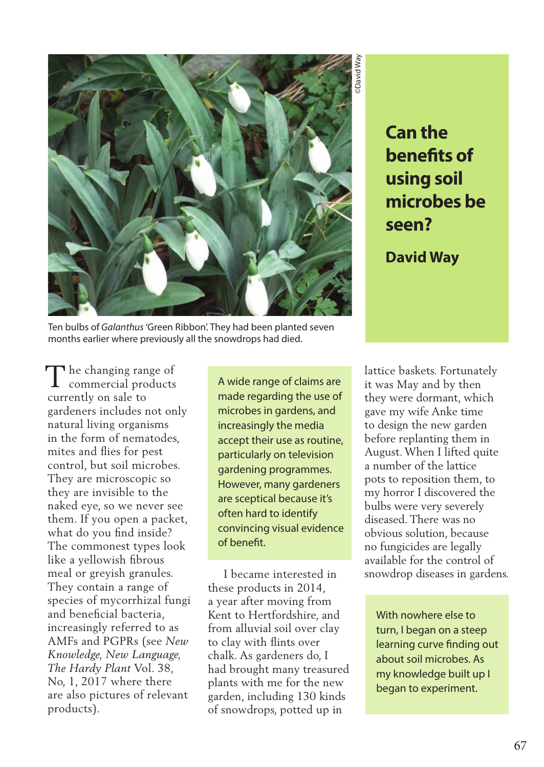

**Can the benefits of using soil microbes be seen?**

**David Way**

Ten bulbs of *Galanthus* 'Green Ribbon'. They had been planted seven months earlier where previously all the snowdrops had died.

 $\Gamma$  he changing range of  $\prod$  he changing range of commercial products currently on sale to gardeners includes not only natural living organisms in the form of nematodes, mites and flies for pest control, but soil microbes. They are microscopic so they are invisible to the naked eye, so we never see them. If you open a packet, what do you find inside? The commonest types look like a yellowish fibrous meal or greyish granules. They contain a range of species of mycorrhizal fungi and beneficial bacteria, increasingly referred to as AMFs and PGPRs (see *New Knowledge, New Language, The Hardy Plant* Vol. 38, No, 1, 2017 where there are also pictures of relevant products).

A wide range of claims are made regarding the use of microbes in gardens, and increasingly the media accept their use as routine, particularly on television gardening programmes. However, many gardeners are sceptical because it's often hard to identify convincing visual evidence of benefit.

 I became interested in these products in 2014, a year after moving from Kent to Hertfordshire, and from alluvial soil over clay to clay with flints over chalk. As gardeners do, I had brought many treasured plants with me for the new garden, including 130 kinds of snowdrops, potted up in

lattice baskets. Fortunately it was May and by then they were dormant, which gave my wife Anke time to design the new garden before replanting them in August. When I lifted quite a number of the lattice pots to reposition them, to my horror I discovered the bulbs were very severely diseased. There was no obvious solution, because no fungicides are legally available for the control of snowdrop diseases in gardens.

With nowhere else to turn, I began on a steep learning curve finding out about soil microbes. As my knowledge built up I began to experiment.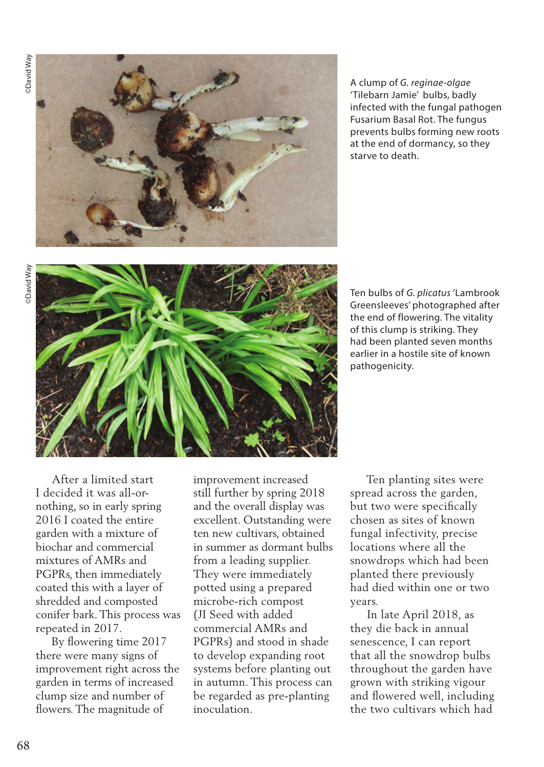

A clump of *G. reginae-olgae*  'Tilebarn Jamie' bulbs, badly infected with the fungal pathogen Fusarium Basal Rot. The fungus prevents bulbs forming new roots at the end of dormancy, so they starve to death.



Ten bulbs of *G. plicatus* 'Lambrook Greensleeves' photographed after the end of flowering. The vitality of this clump is striking. They had been planted seven months earlier in a hostile site of known pathogenicity.

 After a limited start I decided it was all-ornothing, so in early spring 2016 I coated the entire garden with a mixture of biochar and commercial mixtures of AMRs and PGPRs, then immediately coated this with a layer of shredded and composted conifer bark. This process was repeated in 2017.

 By flowering time 2017 there were many signs of improvement right across the garden in terms of increased clump size and number of flowers. The magnitude of

improvement increased still further by spring 2018 and the overall display was excellent. Outstanding were ten new cultivars, obtained in summer as dormant bulbs from a leading supplier. They were immediately potted using a prepared microbe-rich compost (JI Seed with added commercial AMRs and PGPRs) and stood in shade to develop expanding root systems before planting out in autumn. This process can be regarded as pre-planting inoculation.

 Ten planting sites were spread across the garden, but two were specifically chosen as sites of known fungal infectivity, precise locations where all the snowdrops which had been planted there previously had died within one or two years.

 In late April 2018, as they die back in annual senescence, I can report that all the snowdrop bulbs throughout the garden have grown with striking vigour and flowered well, including the two cultivars which had